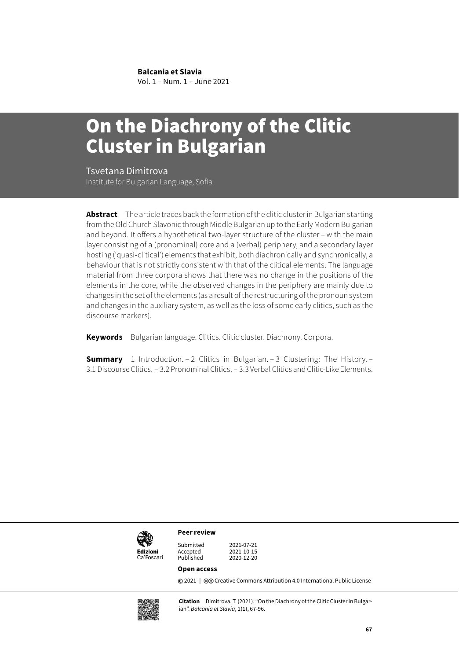**Balcania et Slavia**

Vol. 1 – Num. 1 – June 2021

# On the Diachrony of the Clitic Cluster in Bulgarian

Tsvetana Dimitrova Institute for Bulgarian Language, Sofia

**Abstract** The article traces back the formation of the clitic cluster in Bulgarian starting from the Old Church Slavonic through Middle Bulgarian up to the Early Modern Bulgarian and beyond. It offers a hypothetical two-layer structure of the cluster – with the main layer consisting of a (pronominal) core and a (verbal) periphery, and a secondary layer hosting ('quasi-clitical') elements that exhibit, both diachronically and synchronically, a behaviour that is not strictly consistent with that of the clitical elements. The language material from three corpora shows that there was no change in the positions of the elements in the core, while the observed changes in the periphery are mainly due to changes in the set of the elements (as a result of the restructuring of the pronoun system and changes in the auxiliary system, as well as the loss of some early clitics, such as the discourse markers).

**Keywords** Bulgarian language. Clitics. Clitic cluster. Diachrony. Corpora.

**Summary** 1 Introduction. – 2 Clitics in Bulgarian. – 3 Clustering: The History. – 3.1 Discourse Clitics. – 3.2 Pronominal Clitics. – 3.3 Verbal Clitics and Clitic-Like Elements.



**Peer review**

Submitted 2021-07-21 Accepted 2021-10-15<br>Published 2020-12-20 2020-12-20

### **Open access**

**©** 2021 | ©© [Creative Commons Attribution 4.0 International Public License](https://creativecommons.org/licenses/by/4.0/)



**Citation** Dimitrova, T. (2021). "On the Diachrony of the Clitic Cluster in Bulgarian". *Balcania et Slavia*, 1(1), 67-96.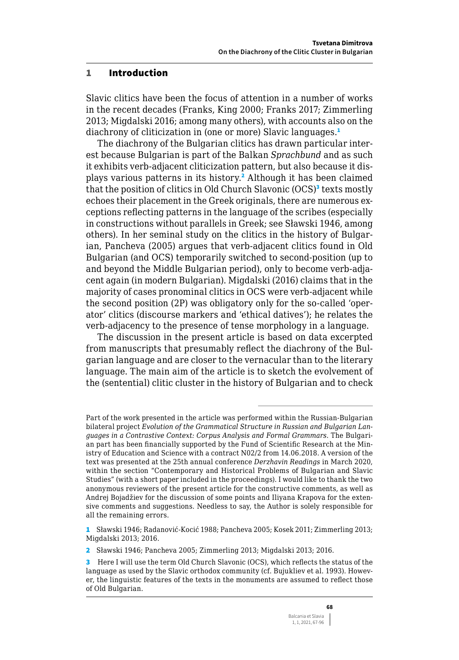### 1 Introduction

Slavic clitics have been the focus of attention in a number of works in the recent decades (Franks, King 2000; Franks 2017; Zimmerling 2013; Migdalski 2016; among many others), with accounts also on the diachrony of cliticization in (one or more) Slavic languages.<sup>1</sup>

The diachrony of the Bulgarian clitics has drawn particular interest because Bulgarian is part of the Balkan *Sprachbund* and as such it exhibits verb-adjacent cliticization pattern, but also because it displays various patterns in its history.<sup>2</sup> Although it has been claimed that the position of clitics in Old Church Slavonic (OCS)<sup>3</sup> texts mostly echoes their placement in the Greek originals, there are numerous exceptions reflecting patterns in the language of the scribes (especially in constructions without parallels in Greek; see Sławski 1946, among others). In her seminal study on the clitics in the history of Bulgarian, Pancheva (2005) argues that verb-adjacent clitics found in Old Bulgarian (and OCS) temporarily switched to second-position (up to and beyond the Middle Bulgarian period), only to become verb-adjacent again (in modern Bulgarian). Migdalski (2016) claims that in the majority of cases pronominal clitics in OCS were verb-adjacent while the second position (2P) was obligatory only for the so-called 'operator' clitics (discourse markers and 'ethical datives'); he relates the verb-adjacency to the presence of tense morphology in a language.

The discussion in the present article is based on data excerpted from manuscripts that presumably reflect the diachrony of the Bulgarian language and are closer to the vernacular than to the literary language. The main aim of the article is to sketch the evolvement of the (sentential) clitic cluster in the history of Bulgarian and to check

Part of the work presented in the article was performed within the Russian-Bulgarian bilateral project *Evolution of the Grammatical Structure in Russian and Bulgarian Languages in a Contrastive Context: Corpus Analysis and Formal Grammars*. The Bulgarian part has been financially supported by the Fund of Scientific Research at the Ministry of Education and Science with a contract N02/2 from 14.06.2018. A version of the text was presented at the 25th annual conference *Derzhavin Readings* in March 2020, within the section "Contemporary and Historical Problems of Bulgarian and Slavic Studies" (with a short paper included in the proceedings). I would like to thank the two anonymous reviewers of the present article for the constructive comments, as well as Andrej Bojadžiev for the discussion of some points and Iliyana Krapova for the extensive comments and suggestions. Needless to say, the Author is solely responsible for all the remaining errors.

<sup>1</sup> Sławski 1946; Radanović-Kocić 1988; Pancheva 2005; Kosek 2011; Zimmerling 2013; Migdalski 2013; 2016.

<sup>2</sup> Sławski 1946; Pancheva 2005; Zimmerling 2013; Migdalski 2013; 2016.

<sup>3</sup> Here I will use the term Old Church Slavonic (OCS), which reflects the status of the language as used by the Slavic orthodox community (cf. Bujukliev et al. 1993). However, the linguistic features of the texts in the monuments are assumed to reflect those of Old Bulgarian.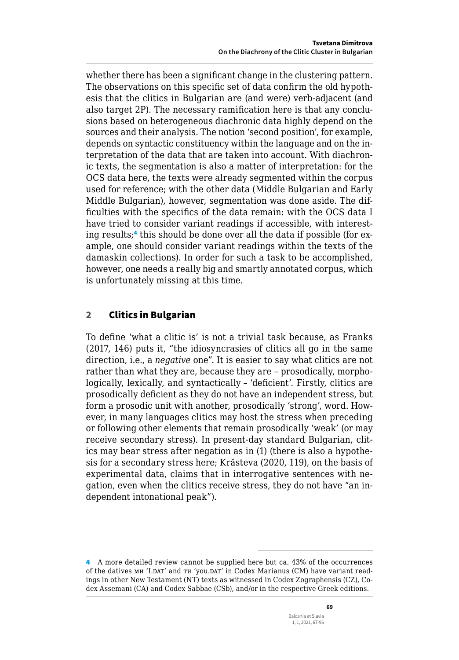whether there has been a significant change in the clustering pattern. The observations on this specific set of data confirm the old hypothesis that the clitics in Bulgarian are (and were) verb-adjacent (and also target 2P). The necessary ramification here is that any conclusions based on heterogeneous diachronic data highly depend on the sources and their analysis. The notion 'second position', for example, depends on syntactic constituency within the language and on the interpretation of the data that are taken into account. With diachronic texts, the segmentation is also a matter of interpretation: for the OCS data here, the texts were already segmented within the corpus used for reference; with the other data (Middle Bulgarian and Early Middle Bulgarian), however, segmentation was done aside. The difficulties with the specifics of the data remain: with the OCS data I have tried to consider variant readings if accessible, with interesting results;<sup>4</sup> this should be done over all the data if possible (for example, one should consider variant readings within the texts of the damaskin collections). In order for such a task to be accomplished, however, one needs a really big and smartly annotated corpus, which is unfortunately missing at this time.

# 2 Clitics in Bulgarian

To define 'what a clitic is' is not a trivial task because, as Franks (2017, 146) puts it, "the idiosyncrasies of clitics all go in the same direction, i.e., a *negative* one". It is easier to say what clitics are not rather than what they are, because they are – prosodically, morphologically, lexically, and syntactically – 'deficient'. Firstly, clitics are prosodically deficient as they do not have an independent stress, but form a prosodic unit with another, prosodically 'strong', word. However, in many languages clitics may host the stress when preceding or following other elements that remain prosodically 'weak' (or may receive secondary stress). In present-day standard Bulgarian, clitics may bear stress after negation as in (1) (there is also a hypothesis for a secondary stress here; Krăsteva (2020, 119), on the basis of experimental data, claims that in interrogative sentences with negation, even when the clitics receive stress, they do not have "an independent intonational peak").

<sup>4</sup> A more detailed review cannot be supplied here but ca. 43% of the occurrences of the datives ми 'I.DAT' and ти 'you.DAT' in Codex Marianus (СМ) have variant readings in other New Testament (NT) texts as witnessed in Codex Zographensis (CZ), Codex Assemani (CA) and Codex Sabbae (CSb), and/or in the respective Greek editions.

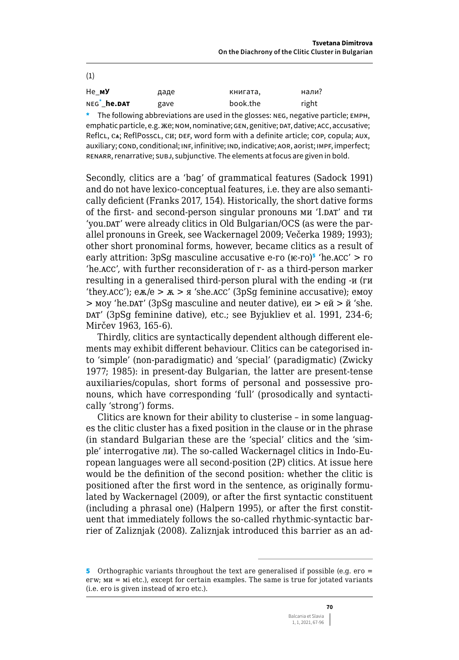| (1)                     |      |          |       |
|-------------------------|------|----------|-------|
| He MY                   | даде | книгата, | нали? |
| NEG <sup>*</sup> he.DAT | gave | book.the | right |

\* The following abbreviations are used in the glosses: NEG, negative particle; EMPH, emphatic particle, e.g. *x* e; NOM, nominative; GEN, genitive; DAT, dative; ACC, accusative; ReflcL, CA; ReflPosscL, CH; DEF, word form with a definite article; COP, copula; AUX, auxiliary; COND, conditional; INF, infinitive; IND, indicative; AOR, aorist; IMPF, imperfect; RENARR, renarrative; SUBJ, subjunctive. The elements at focus are given in bold.

Secondly, clitics are a 'bag' of grammatical features (Sadock 1991) and do not have lexico-conceptual features, i.e. they are also semantically deficient (Franks 2017, 154). Historically, the short dative forms of the first- and second-person singular pronouns MH 'I.DAT' and TH 'you.DAT' were already clitics in Old Bulgarian/OCS (as were the parallel pronouns in Greek, see Wackernagel 2009; Večerka 1989; 1993); other short pronominal forms, however, became clitics as a result of early attrition: 3pSg masculine accusative e-ro  $(E-FO)^5$  'he.ACC' > ro 'he.ACC', with further reconsideration of r- as a third-person marker resulting in a generalised third-person plural with the ending -и (ги 'they.acc');  $e\pi/e > \pi > \pi$  'she.acc' (3pSq feminine accusative); emoy > моу 'he.DAT' (3pSq masculine and neuter dative), еи > ей > й 'she. DAT' (3pSq feminine dative), etc.; see Byjukliev et al. 1991, 234-6; Mirčey 1963, 165-6).

Thirdly, clitics are syntactically dependent although different elements may exhibit different behaviour. Clitics can be categorised into 'simple' (non-paradigmatic) and 'special' (paradigmatic) (Zwicky 1977; 1985): in present-day Bulgarian, the latter are present-tense auxiliaries/copulas, short forms of personal and possessive pronouns, which have corresponding 'full' (prosodically and syntactically 'strong') forms.

Clitics are known for their ability to clusterise - in some languages the clitic cluster has a fixed position in the clause or in the phrase (in standard Bulgarian these are the 'special' clitics and the 'simple' interrogative ли). The so-called Wackernagel clitics in Indo-European languages were all second-position (2P) clitics. At issue here would be the definition of the second position: whether the clitic is positioned after the first word in the sentence, as originally formulated by Wackernagel (2009), or after the first syntactic constituent (including a phrasal one) (Halpern 1995), or after the first constituent that immediately follows the so-called rhythmic-syntactic barrier of Zaliznjak (2008). Zaliznjak introduced this barrier as an ad-

<sup>5</sup> Orthographic variants throughout the text are generalised if possible (e.g.  $ero =$  $erw$ ;  $mu = mi$  etc.), except for certain examples. The same is true for jotated variants (i.e. ero is given instead of  $\pi$ ro etc.).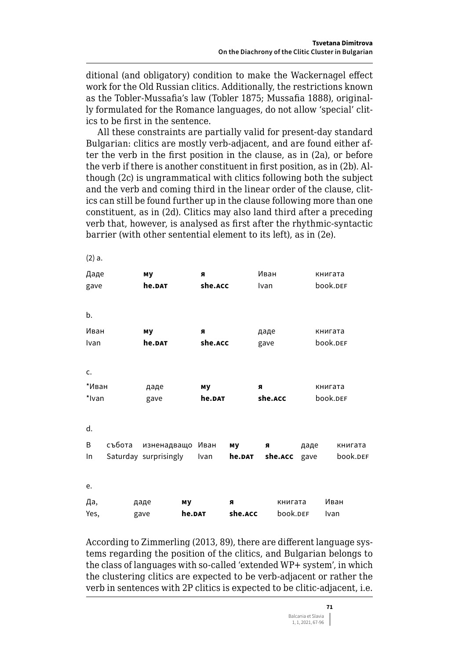ditional (and obligatory) condition to make the Wackernagel effect work for the Old Russian clitics. Additionally, the restrictions known as the Tobler-Mussafia's law (Tobler 1875; Mussafia 1888), originally formulated for the Romance languages, do not allow 'special' clitics to be first in the sentence.

All these constraints are partially valid for present-day standard Bulgarian: clitics are mostly verb-adjacent, and are found either after the verb in the first position in the clause, as in (2a), or before the verb if there is another constituent in first position, as in (2b). Although (2c) is ungrammatical with clitics following both the subject and the verb and coming third in the linear order of the clause, clitics can still be found further up in the clause following more than one constituent, as in (2d). Clitics may also land third after a preceding verb that, however, is analysed as first after the rhythmic-syntactic barrier (with other sentential element to its left), as in (2e).

 $\sim$ 

| (2) a. |        |                       |         |         |              |      |          |
|--------|--------|-----------------------|---------|---------|--------------|------|----------|
| Даде   |        | му                    | я       |         | Иван         |      | книгата  |
| gave   |        | he.DAT                | she.ACC |         | Ivan         |      | book.DEF |
|        |        |                       |         |         |              |      |          |
| b.     |        |                       |         |         |              |      |          |
| Иван   |        | му                    | я       |         | даде         |      | книгата  |
| Ivan   |        | he.DAT                | she.ACC |         | gave         |      | book.DEF |
|        |        |                       |         |         |              |      |          |
| c.     |        |                       |         |         |              |      |          |
| *Иван  |        | даде                  | му      |         | я            |      | книгата  |
| *Ivan  |        | gave                  | he.DAT  |         | she.ACC      |      | book.DEF |
|        |        |                       |         |         |              |      |          |
| d.     |        |                       |         |         |              |      |          |
| B      | събота | изненадващо Иван      |         | му      | я            | даде | книгата  |
| In.    |        | Saturday surprisingly | Ivan    | he.DAT  | she.ACC gave |      | book.DEF |
|        |        |                       |         |         |              |      |          |
| e.     |        |                       |         |         |              |      |          |
| Да,    |        | даде                  | му      | я       | книгата      |      | Иван     |
| Yes,   |        | gave                  | he.DAT  | she.ACC | book.DEF     |      | Ivan     |

According to Zimmerling (2013, 89), there are different language systems regarding the position of the clitics, and Bulgarian belongs to the class of languages with so-called 'extended WP+ system', in which the clustering clitics are expected to be verb-adjacent or rather the verb in sentences with 2P clitics is expected to be clitic-adjacent, i.e.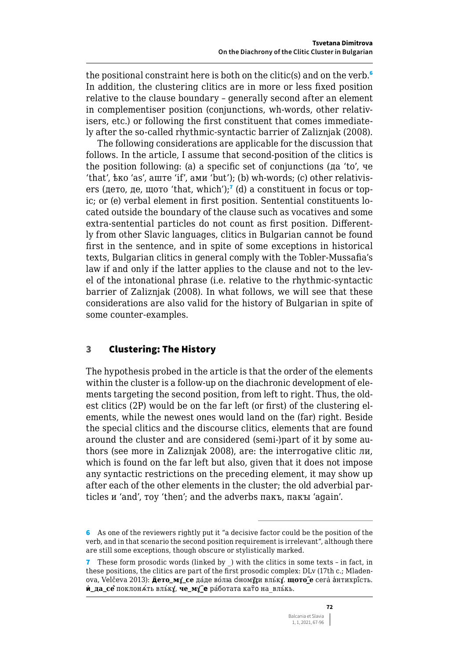the positional constraint here is both on the clitic(s) and on the verb.<sup>6</sup> In addition, the clustering clitics are in more or less fixed position relative to the clause boundary – generally second after an element in complementiser position (conjunctions, wh-words, other relativisers, etc.) or following the first constituent that comes immediately after the so-called rhythmic-syntactic barrier of Zaliznjak (2008).

The following considerations are applicable for the discussion that follows. In the article, I assume that second-position of the clitics is the position following: (a) a specific set of conjunctions (да 'to', че 'that', ѣко 'as', аште 'if', ами 'but'); (b) wh-words; (c) other relativisers (дето, де, щото 'that, which');<sup>7</sup> (d) a constituent in focus or topic; or (e) verbal element in first position. Sentential constituents located outside the boundary of the clause such as vocatives and some extra-sentential particles do not count as first position. Differently from other Slavic languages, clitics in Bulgarian cannot be found first in the sentence, and in spite of some exceptions in historical texts, Bulgarian clitics in general comply with the Tobler-Mussafia's law if and only if the latter applies to the clause and not to the level of the intonational phrase (i.e. relative to the rhythmic-syntactic barrier of Zaliznjak (2008). In what follows, we will see that these considerations are also valid for the history of Bulgarian in spite of some counter-examples.

### 3 Clustering: The History

The hypothesis probed in the article is that the order of the elements within the cluster is a follow-up on the diachronic development of elements targeting the second position, from left to right. Thus, the oldest clitics (2P) would be on the far left (or first) of the clustering elements, while the newest ones would land on the (far) right. Beside the special clitics and the discourse clitics, elements that are found around the cluster and are considered (semi-)part of it by some authors (see more in Zaliznjak 2008), are: the interrogative clitic ли, which is found on the far left but also, given that it does not impose any syntactic restrictions on the preceding element, it may show up after each of the other elements in the cluster; the old adverbial particles и 'and', тоу 'then'; and the adverbs пакъ, пакы 'again'.

<sup>6</sup> As one of the reviewers rightly put it "a decisive factor could be the position of the verb, and in that scenario the second position requirement is irrelevant", although there are still some exceptions, though obscure or stylistically marked.

<sup>7</sup> These form prosodic words (linked by \_) with the clitics in some texts – in fact, in these positions, the clitics are part of the first prosodic complex: DLv (17th c.; Mladenova, Velčeva 2013): **д҄ето\_мꙋ\_се** да́де во́лꙗ ѻ҆ном**ꙋ́ ꙁ**и вль́к**ꙋ**. **щото\_҄е** сега̀ а҆нтихрї́сть. **и҆\_да\_сѐ** поклонѧ́ть вль́к**ꙋ**, **че\_мꙋ\_҄е** ра́ботата кат҄о на\_вль́кь.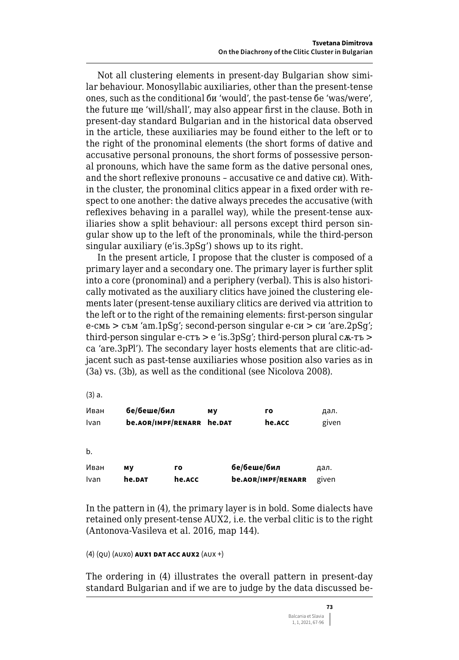Not all clustering elements in present-day Bulgarian show similar behaviour. Monosyllabic auxiliaries, other than the present-tense ones, such as the conditional би 'would', the past-tense бе 'was/were', the future ще 'will/shall', may also appear first in the clause. Both in present-day standard Bulgarian and in the historical data observed in the article, these auxiliaries may be found either to the left or to the right of the pronominal elements (the short forms of dative and accusative personal pronouns, the short forms of possessive personal pronouns, which have the same form as the dative personal ones, and the short reflexive pronouns – accusative се and dative си). Within the cluster, the pronominal clitics appear in a fixed order with respect to one another: the dative always precedes the accusative (with reflexives behaving in a parallel way), while the present-tense auxiliaries show a split behaviour: all persons except third person singular show up to the left of the pronominals, while the third-person singular auxiliary (e'is.3pSg') shows up to its right.

In the present article, I propose that the cluster is composed of a primary layer and a secondary one. The primary layer is further split into a core (pronominal) and a periphery (verbal). This is also historically motivated as the auxiliary clitics have joined the clustering elements later (present-tense auxiliary clitics are derived via attrition to the left or to the right of the remaining elements: first-person singular е-смь > съм 'am.1pSg'; second-person singular е-си > си 'are.2pSg'; third-person singular  $e$ -стъ >  $e$  'is.3pSq'; third-person plural с $\alpha$ -тъ > са 'are.3pPl'). The secondary layer hosts elements that are clitic-adjacent such as past-tense auxiliaries whose position also varies as in (3a) vs. (3b), as well as the conditional (see Nicolova 2008).

(3) a.

| Иван | бе/беше/бил               | МV | го     | дал.  |
|------|---------------------------|----|--------|-------|
| Ivan | be.AOR/IMPF/RENARR he.DAT |    | he.ACC | given |

b.

| Иван | мv     | го     | бе/беше/бил        | дал.  |
|------|--------|--------|--------------------|-------|
| Ivan | he.DAT | he.ACC | be.AOR/IMPF/RENARR | given |

In the pattern in (4), the primary layer is in bold. Some dialects have retained only present-tense AUX2, i.e. the verbal clitic is to the right (Antonova-Vasileva et al. 2016, map 144).

```
(4) (qu) (aux0) aux1 dat acc aux2 (aux +)
```
The ordering in (4) illustrates the overall pattern in present-day standard Bulgarian and if we are to judge by the data discussed be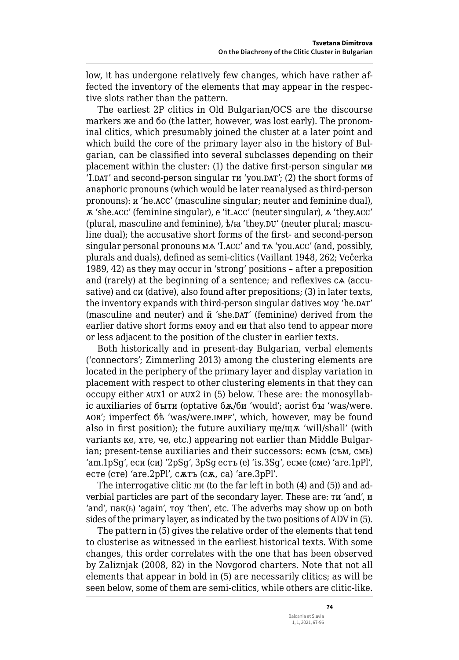low, it has undergone relatively few changes, which have rather affected the inventory of the elements that may appear in the respective slots rather than the pattern.

The earliest 2P clitics in Old Bulgarian/OCS are the discourse markers же and бо (the latter, however, was lost early). The pronominal clitics, which presumably joined the cluster at a later point and which build the core of the primary layer also in the history of Bulgarian, can be classified into several subclasses depending on their placement within the cluster: (1) the dative first-person singular ми 'I.DAT' and second-person singular ти 'you.DAT'; (2) the short forms of anaphoric pronouns (which would be later reanalysed as third-person pronouns): и 'he.acc' (masculine singular; neuter and feminine dual), ѫ 'she.acc' (feminine singular), е 'it.acc' (neuter singular), ѧ 'they.acc' (plural, masculine and feminine),  $\frac{1}{2}$  /ia 'they.DU' (neuter plural; masculine dual); the accusative short forms of the first- and second-person singular personal pronouns мѧ 'I.acc' and тѧ 'you.acc' (and, possibly, plurals and duals), defined as semi-clitics (Vaillant 1948, 262; Večerka 1989, 42) as they may occur in 'strong' positions – after a preposition and (rarely) at the beginning of a sentence; and reflexives cѧ (accusative) and си (dative), also found after prepositions; (3) in later texts, the inventory expands with third-person singular datives моу 'he.DAT' (masculine and neuter) and й 'she.dat' (feminine) derived from the earlier dative short forms емоу and еи that also tend to appear more or less adjacent to the position of the cluster in earlier texts.

Both historically and in present-day Bulgarian, verbal elements ('connectors'; Zimmerling 2013) among the clustering elements are located in the periphery of the primary layer and display variation in placement with respect to other clustering elements in that they can occupy either aux1 or aux2 in (5) below. These are: the monosyllabic auxiliaries of быти (optative бж/би 'would'; aorist бы 'was/were. aor'; imperfect бѣ 'was/were.impf', which, however, may be found also in first position); the future auxiliary ще/щѫ 'will/shall' (with variants ке, хте, че, etc.) appearing not earlier than Middle Bulgarian; present-tense auxiliaries and their successors: есмь (съм, смь) 'am.1pSg', еси (си) '2pSg', 3pSg естъ (е) 'is.3Sg', есме (сме) 'are.1pPl', есте (сте) 'are.2pPl', сѫтъ (сѫ, са) 'are.3pPl'.

The interrogative clitic ли (to the far left in both (4) and (5)) and adverbial particles are part of the secondary layer. These are: ти 'and', и 'and', пак(ь) 'again', тоу 'then', etc. The adverbs may show up on both sides of the primary layer, as indicated by the two positions of ADV in (5).

The pattern in (5) gives the relative order of the elements that tend to clusterise as witnessed in the earliest historical texts. With some changes, this order correlates with the one that has been observed by Zaliznjak (2008, 82) in the Novgorod charters. Note that not all elements that appear in bold in (5) are necessarily clitics; as will be seen below, some of them are semi-clitics, while others are clitic-like.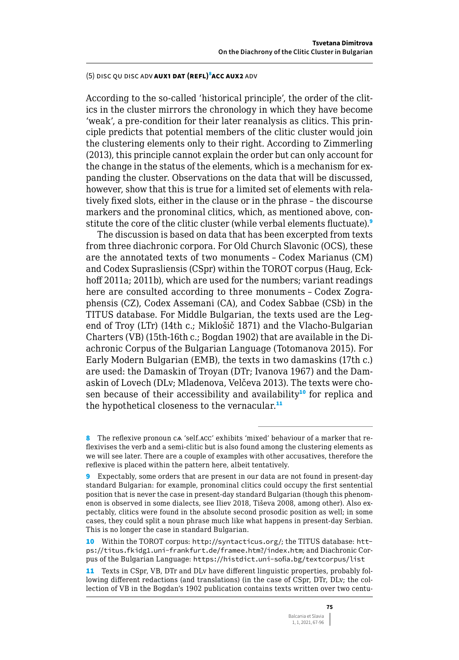### (5) disc qu disc adv **aux1 dat (refl)** 8 **acc aux2** adv

According to the so-called 'historical principle', the order of the clitics in the cluster mirrors the chronology in which they have become 'weak', a pre-condition for their later reanalysis as clitics. This principle predicts that potential members of the clitic cluster would join the clustering elements only to their right. According to Zimmerling (2013), this principle cannot explain the order but can only account for the change in the status of the elements, which is a mechanism for expanding the cluster. Observations on the data that will be discussed, however, show that this is true for a limited set of elements with relatively fixed slots, either in the clause or in the phrase – the discourse markers and the pronominal clitics, which, as mentioned above, constitute the core of the clitic cluster (while verbal elements fluctuate).<sup>9</sup>

The discussion is based on data that has been excerpted from texts from three diachronic corpora. For Old Church Slavonic (OCS), these are the annotated texts of two monuments – Codex Marianus (CM) and Codex Suprasliensis (CSpr) within the TOROT corpus (Haug, Eckhoff 2011a; 2011b), which are used for the numbers; variant readings here are consulted according to three monuments – Codex Zographensis (CZ), Codex Assemani (CA), and Codex Sabbae (CSb) in the TITUS database. For Middle Bulgarian, the texts used are the Legend of Troy (LTr) (14th c.; Miklošič 1871) and the Vlacho-Bulgarian Charters (VB) (15th-16th c.; Bogdan 1902) that are available in the Diachronic Corpus of the Bulgarian Language (Totomanova 2015). For Early Modern Bulgarian (EMB), the texts in two damaskins (17th c.) are used: the Damaskin of Troyan (DTr; Ivanova 1967) and the Damaskin of Lovech (DLv; Mladenova, Velčeva 2013). The texts were chosen because of their accessibility and availability<sup>10</sup> for replica and the hypothetical closeness to the vernacular.<sup>11</sup>

10 Within the TOROT corpus: <http://syntacticus.org/>; the TITUS database: [htt](https://titus.fkidg1.uni-frankfurt.de/framee.htm?/index.htm)[ps://titus.fkidg1.uni-frankfurt.de/framee.htm?/index.htm](https://titus.fkidg1.uni-frankfurt.de/framee.htm?/index.htm); and Diachronic Corpus of the Bulgarian Language: <https://histdict.uni-sofia.bg/textcorpus/list>

11 Texts in CSpr, VB, DTr and DLv have different linguistic properties, probably following different redactions (and translations) (in the case of CSpr, DTr, DLv; the collection of VB in the Bogdan's 1902 publication contains texts written over two centu-

<sup>8</sup> The reflexive pronoun c $\alpha$  'self.acc' exhibits 'mixed' behaviour of a marker that reflexivises the verb and a semi-clitic but is also found among the clustering elements as we will see later. There are a couple of examples with other accusatives, therefore the reflexive is placed within the pattern here, albeit tentatively.

<sup>9</sup> Expectably, some orders that are present in our data are not found in present-day standard Bulgarian: for example, pronominal clitics could occupy the first sentential position that is never the case in present-day standard Bulgarian (though this phenomenon is observed in some dialects, see Iliev 2018, Tiševа 2008, among other). Also expectably, clitics were found in the absolute second prosodic position as well; in some cases, they could split a noun phrase much like what happens in present-day Serbian. This is no longer the case in standard Bulgarian.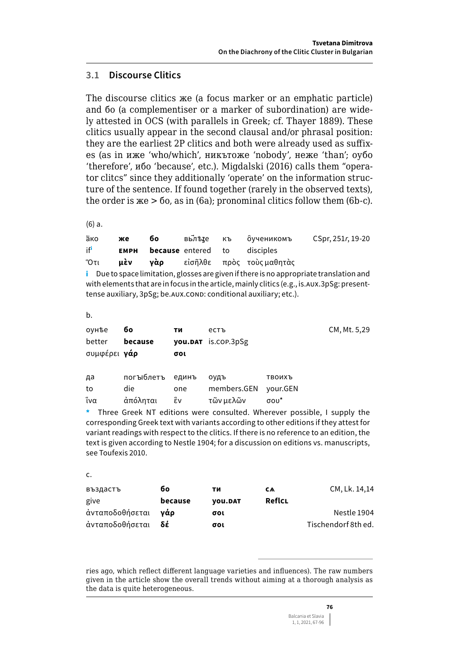#### $31$ **Discourse Clitics**

The discourse clitics we (a focus marker or an emphatic particle) and 60 (a complementiser or a marker of subordination) are widely attested in OCS (with parallels in Greek; cf. Thayer 1889). These clitics usually appear in the second clausal and/or phrasal position: they are the earliest 2P clitics and both were already used as suffixes (as in иже 'who/which', никътоже 'nobody', неже 'than'; оубо 'therefore', u<sub>0</sub> 'because', etc.). Migdalski (2016) calls them "operator clitcs" since they additionally 'operate' on the information structure of the sentence. If found together (rarely in the observed texts), the order is  $x = 60$ , as in (6a); pronominal clitics follow them (6b-c).

 $(6)$  a.

| ако             | же | 6о |                                          | вьлѣze къ о̂ученикомъ                       | CSpr, 251r, 19-20 |
|-----------------|----|----|------------------------------------------|---------------------------------------------|-------------------|
| if <sup>i</sup> |    |    | <b>EMPH because</b> entered to disciples |                                             |                   |
|                 |    |    |                                          | Ότι <b>μὲν γὰρ</b> εἰσῆλθε πρὸς τοὺςμαθητὰς |                   |

 $\mathbf i$  Due to space limitation, glosses are given if there is no appropriate translation and with elements that are in focus in the article, mainly clitics (e.g., is. AUX. 3pSg: presenttense auxiliary, 3pSg; be. AUX. COND: conditional auxiliary; etc.).

b.

| оунѣе<br>better<br>συμφέρει <b>γάρ</b> | бο<br>because     | ти<br>σοι    | естъ<br><b>you.DAT</b> is.cop.3pSg |                    | CM, Mt. 5,29 |
|----------------------------------------|-------------------|--------------|------------------------------------|--------------------|--------------|
| да<br>to                               | погъюблетъ<br>die | единъ<br>one | ОУДЪ<br>members.GEN                | твоихъ<br>your.GEN |              |
| ίνα                                    | άπόληται          | ἓν           | τῶν μελῶν                          | $\sigma$ ov $^*$   |              |

\* Three Greek NT editions were consulted. Wherever possible, I supply the corresponding Greek text with variants according to other editions if they attest for variant readings with respect to the clitics. If there is no reference to an edition, the text is given according to Nestle 1904; for a discussion on editions vs. manuscripts, see Toufexis 2010.

c.

| въздастъ        | бο      | ти             | CA     | CM, Lk. 14, 14      |
|-----------------|---------|----------------|--------|---------------------|
| give            | because | <b>VOU.DAT</b> | ReflcL |                     |
| ἀνταποδοθήσεται | νάο     | σοι            |        | Nestle 1904         |
| ἀνταποδοθήσεται | δέ      | σοι            |        | Tischendorf 8th ed. |

ries ago, which reflect different language varieties and influences). The raw numbers given in the article show the overall trends without aiming at a thorough analysis as the data is quite heterogeneous.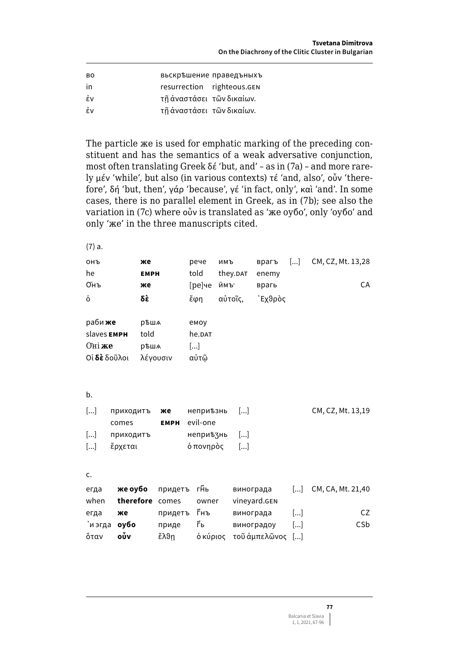| <b>BO</b> |                            | вьскръшение праведъныхъ |
|-----------|----------------------------|-------------------------|
| in        | resurrection righteous.GEN |                         |
| έν        | τῆ ἀναστάσει τῶν δικαίων.  |                         |
| έv        | τῆ ἀναστάσει τῶν δικαίων.  |                         |

The particle же is used for emphatic marking of the preceding constituent and has the semantics of a weak adversative conjunction, most often translating Greek δέ 'but, and' – as in (7a) – and more rarely μέν 'while', but also (in various contexts) τέ 'and, also', οὖν 'therefore', δή 'but, then', γάρ 'because', γέ 'in fact, only', καὶ 'and'. In some cases, there is no parallel element in Greek, as in (7b); see also the variation in (7c) where οὖν is translated as 'же оубо', only 'оубо' and only 'же' in the three manuscripts cited.

(7) a.

| <b>ОНЪ</b>            |           | же          |             |                       | рече               | имъ     |                       | врагъ            | $[]$                  | CM, CZ, Mt. 13,28 |
|-----------------------|-----------|-------------|-------------|-----------------------|--------------------|---------|-----------------------|------------------|-----------------------|-------------------|
| he                    |           | <b>EMPH</b> |             | told                  |                    |         | they.DAT              | enemy            |                       |                   |
| Онъ                   |           | же          |             |                       | [ре]че             | ймъ.    |                       | врагь            |                       | CA                |
| ò                     |           | δÈ          |             | ἔφη                   |                    | αὐτοῖς, |                       | `Εχθρὸς          |                       |                   |
|                       |           |             |             |                       |                    |         |                       |                  |                       |                   |
| раби <b>же</b>        |           | рѣша        |             |                       | емоу               |         |                       |                  |                       |                   |
| slaves EMPH           |           | told        |             |                       | he. <sub>DAT</sub> |         |                       |                  |                       |                   |
| Оні же                |           | рѣша        |             | $\left[\ldots\right]$ |                    |         |                       |                  |                       |                   |
| Οἱ <b>δὲ</b> δοῦλοι   |           | λέγουσιν    |             |                       | αὐτῶ               |         |                       |                  |                       |                   |
|                       |           |             |             |                       |                    |         |                       |                  |                       |                   |
|                       |           |             |             |                       |                    |         |                       |                  |                       |                   |
| b.                    |           |             |             |                       |                    |         |                       |                  |                       |                   |
| $[]$                  | приходитъ |             | же          |                       | неприђзнь          |         | $\left[\ldots\right]$ |                  |                       | CM, CZ, Mt. 13,19 |
|                       | comes     |             | <b>EMPH</b> |                       | evil-one           |         |                       |                  |                       |                   |
| $[]$                  | приходитъ |             |             |                       | неприъзнь          |         | $\left[\ldots\right]$ |                  |                       |                   |
| $\left[\ldots\right]$ | ἔρχεται   |             |             |                       | ό πονηρὸς          |         | $\left[\ldots\right]$ |                  |                       |                   |
|                       |           |             |             |                       |                    |         |                       |                  |                       |                   |
| c.                    |           |             |             |                       |                    |         |                       |                  |                       |                   |
|                       |           |             |             |                       |                    |         |                       |                  |                       |                   |
| егда                  | же оубо   |             | придетъ     |                       | гĤь                |         | винограда             |                  | $\left[\ldots\right]$ | CM, CA, Mt. 21,40 |
| when                  | therefore |             | comes       |                       | owner              |         |                       | vineyard.GEN     |                       |                   |
| егда                  | же        |             | придетъ     |                       | Ѓнъ                |         | винограда             |                  | $[]$                  | CZ                |
| 'и эгда               | оубо      |             | приде       |                       | ŕь                 |         | виноградоу            |                  | $\left[\ldots\right]$ | CSb               |
| ὄταν                  | οὖν       |             | ἔλθη        |                       | ό κύριος           |         |                       | τοῦ ἀμπελῶνος [] |                       |                   |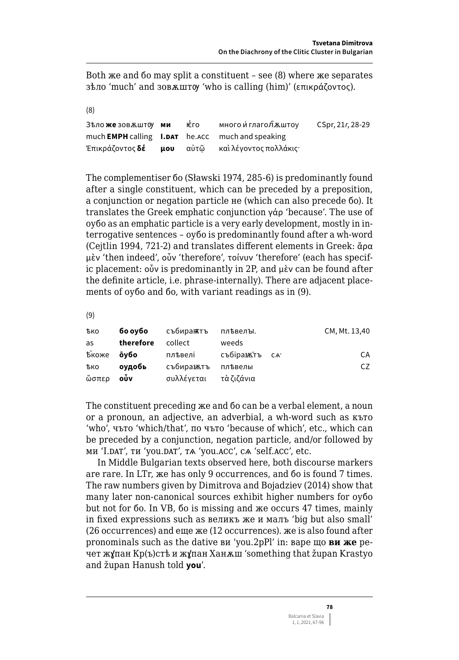Both we and 60 may split a constituent - see (8) where we separates 3 επικράζοντος). 3 επιλείται τον 'who is calling (him)' (επικράζοντος).

 $(8)$ 

| Зѣло <b>же</b> зовѫшт0у <b>ми</b> ѥ҅҇го |  | много ѝ глагол̂ѫштоу                                           | CSpr, 21r, 28-29 |
|-----------------------------------------|--|----------------------------------------------------------------|------------------|
|                                         |  | much <b>EMPH</b> calling <b>I.DAT</b> he.ACC much and speaking |                  |
|                                         |  | Ἐπικράζοντος <b>δέ μου</b> αὐτῶ καὶλέγοντος πολλάκις·          |                  |

The complementiser 60 (Sławski 1974, 285-6) is predominantly found after a single constituent, which can be preceded by a preposition, a conjunction or negation particle не (which can also precede бо). It translates the Greek emphatic conjunction  $\gamma \dot{\alpha}$  'because'. The use of oyóo as an emphatic particle is a very early development, mostly in interrogative sentences - oyoo is predominantly found after a wh-word (Cejtlin 1994, 721-2) and translates different elements in Greek:  $\ddot{a}$ ρα μὲν 'then indeed', οὖν 'therefore', τοίνυν 'therefore' (each has specific placement: oǔv is predominantly in 2P, and  $\mu$ èv can be found after the definite article, i.e. phrase-internally). There are adjacent placements of oybo and bo, with variant readings as in (9).

 $(9)$ 

| тько       | бо оубо   | събираѭтъ  | плъвелъі.     | CM, Mt. 13,40 |
|------------|-----------|------------|---------------|---------------|
| as         | therefore | collect    | weeds         |               |
| Бкоже      | о̀убо     | плѣвелі    | събіранатъ са | CA            |
| <b>ЪКО</b> | оудобь    | събиравктъ | плъвелы       | CZ            |
| ὥσπερ      | οὖν       | συλλέγεται | τὰ ζιζάνια    |               |

The constituent preceding  $x e$  and 60 can be a verbal element, a noun or a pronoun, an adjective, an adverbial, a wh-word such as KLTO 'who', чъто 'which/that', по чъто 'because of which', etc., which can be preceded by a conjunction, negation particle, and/or followed by ми 'I.DAT', ти 'you.DAT', та 'you.ACC', са 'self.ACC', etc.

In Middle Bulgarian texts observed here, both discourse markers are rare. In LTr, we has only 9 occurrences, and 60 is found 7 times. The raw numbers given by Dimitrova and Bojadziev (2014) show that many later non-canonical sources exhibit higher numbers for oybo but not for 60. In VB, 60 is missing and x e occurs 47 times, mainly in fixed expressions such as великъ же и малъ 'big but also small' (26 occurrences) and еще же (12 occurrences). же is also found after pronominals such as the dative ви 'you.2pPl' in: варе що ви же речет жұпан Кр(ъ)стѣ и жұпан Ханжш 'something that župan Krastyo and župan Hanush told you'.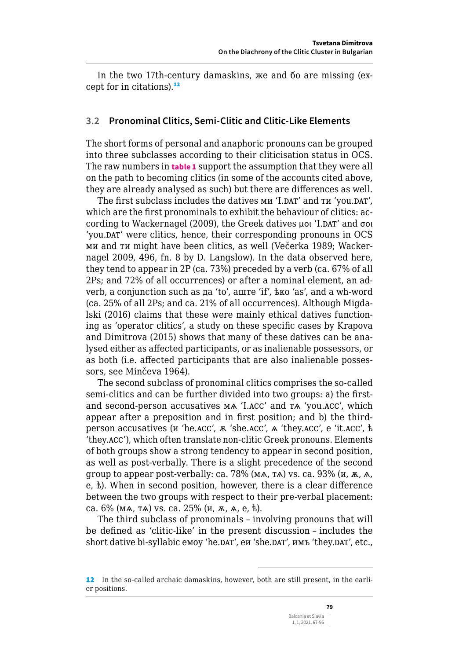In the two 17th-century damaskins, же and бо are missing (except for in citations). $12$ 

### **3.2 Pronominal Clitics, Semi-Clitic and Clitic-Like Elements**

The short forms of personal and anaphoric pronouns can be grouped into three subclasses according to their cliticisation status in OCS. The raw numbers in **table 1** support the assumption that they were all on the path to becoming clitics (in some of the accounts cited above, they are already analysed as such) but there are differences as well.

The first subclass includes the datives ми 'I.DAT' and ти 'you.DAT', which are the first pronominals to exhibit the behaviour of clitics: according to Wackernagel (2009), the Greek datives μοι 'I.DAT' and σοι 'you.DAT' were clitics, hence, their corresponding pronouns in OCS ми and ти might have been clitics, as well (Večerka 1989; Wackernagel 2009, 496, fn. 8 by D. Langslow). In the data observed here, they tend to appear in 2P (ca. 73%) preceded by a verb (ca. 67% of all 2Ps; and 72% of all occurrences) or after a nominal element, an adverb, a conjunction such as да 'to', аште 'if', ѣко 'as', and a wh-word (ca. 25% of all 2Ps; and ca. 21% of all occurrences). Although Migdalski (2016) claims that these were mainly ethical datives functioning as 'operator clitics', a study on these specific cases by Krapova and Dimitrova (2015) shows that many of these datives can be analysed either as affected participants, or as inalienable possessors, or as both (i.e. affected participants that are also inalienable possessors, see Minčeva 1964).

The second subclass of pronominal clitics comprises the so-called semi-clitics and can be further divided into two groups: a) the firstand second-person accusatives мѧ 'I.acc' and тѧ 'you.acc', which appear after a preposition and in first position; and b) the thirdperson accusatives (и 'he.acc', ѫ 'she.acc', ѧ 'they.acc', e 'it.acc', ѣ 'they.acc'), which often translate non-clitic Greek pronouns. Elements of both groups show a strong tendency to appear in second position, as well as post-verbally. There is a slight precedence of the second group to appear post-verbally: ca.  $78\%$  (мл, та) vs. ca.  $93\%$  (и, ж, д, е, ѣ). When in second position, however, there is a clear difference between the two groups with respect to their pre-verbal placement: ca. 6% (мѧ, тѧ) vs. ca. 25% (и, ѫ, ѧ, е, ѣ).

The third subclass of pronominals – involving pronouns that will be defined as 'clitic-like' in the present discussion – includes the short dative bi-syllabic емоу 'he.DAT', еи 'she.DAT', имъ 'they.DAT', etc.,

<sup>12</sup> In the so-called archaic damaskins, however, both are still present, in the earlier positions.

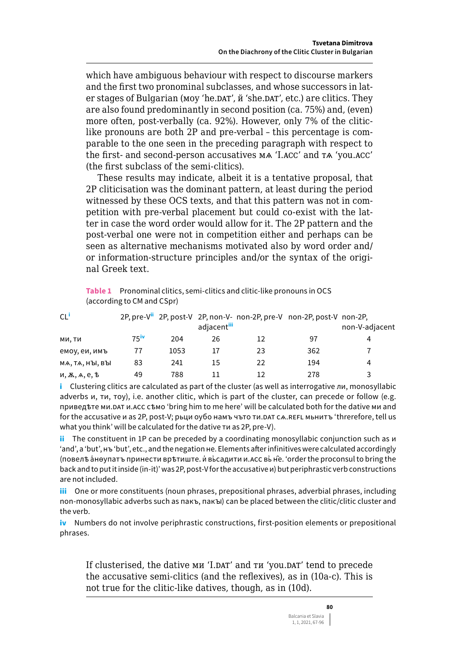which have ambiguous behaviour with respect to discourse markers and the first two pronominal subclasses, and whose successors in later stages of Bulgarian (MOV 'he.DAT',  $\check{\text{n}}$  'she.DAT', etc.) are clitics. They are also found predominantly in second position (ca. 75%) and, (even) more often, post-verbally (ca. 92%). However, only 7% of the cliticlike pronouns are both 2P and pre-verbal - this percentage is comparable to the one seen in the preceding paragraph with respect to the first- and second-person accusatives MA 'I.ACC' and TA 'you.ACC' (the first subclass of the semi-clitics).

These results may indicate, albeit it is a tentative proposal, that 2P cliticisation was the dominant pattern, at least during the period witnessed by these OCS texts, and that this pattern was not in competition with pre-verbal placement but could co-exist with the latter in case the word order would allow for it. The 2P pattern and the post-verbal one were not in competition either and perhaps can be seen as alternative mechanisms motivated also by word order and/ or information-structure principles and/or the syntax of the original Greek text.

| Table 1 Pronominal clitics, semi-clitics and clitic-like pronouns in OCS |
|--------------------------------------------------------------------------|
| (according to CM and CSpr)                                               |

| CL                       |                     |      | adjacent <sup>iii</sup> |    | 2P, pre-V <sup>ii</sup> 2P, post-V 2P, non-V- non-2P, pre-V non-2P, post-V non-2P, | non-V-adjacent |
|--------------------------|---------------------|------|-------------------------|----|------------------------------------------------------------------------------------|----------------|
| ми. ти                   | $75^{\prime\prime}$ | 204  | 26                      | 12 | 97                                                                                 | 4              |
| емоу, еи, имъ            | 77                  | 1053 |                         | 23 | 362                                                                                |                |
| MA, TA, Hbl, Bbl         | 83                  | 241  | 15                      | 22 | 194                                                                                | 4              |
| и, $K$ , $A$ , $e$ , $b$ | 49                  | 788  |                         |    | 278                                                                                |                |

 $\mathbf i$  Clustering clitics are calculated as part of the cluster (as well as interrogative  $\pi u$ , monosyllabic adverbs u, ти, тоу), i.e. another clitic, which is part of the cluster, can precede or follow (e.g. приведъте ми. DAT и. ACC съмо 'bring him to me here' will be calculated both for the dative ми and for the accusative и as 2P, post-V; рьци оубо намъ чъто ти. DAT с A. REFL мьнитъ 'threrefore, tell us what you think' will be calculated for the dative TH as 2P, pre-V).

ii The constituent in 1P can be preceded by a coordinating monosyllabic conjunction such as  $\mu$ 'and', a 'but', Hb 'but', etc., and the negation He. Elements after infinitives were calculated accordingly (повелѣ а́нѳупатъ принести врѣтиште. и́ вы̀садити и. ACC вы̀не̂. 'order the proconsul to bring the back and to put it inside (in-it)' was 2P, post-V for the accusative  $u$ ) but periphrastic verb constructions are not included.

iii One or more constituents (noun phrases, prepositional phrases, adverbial phrases, including non-monosyllabic adverbs such as nakb, nakbl) can be placed between the clitic/clitic cluster and the verb.

iv Numbers do not involve periphrastic constructions, first-position elements or prepositional phrases.

If clusterised, the dative ми 'І.DAT' and ти 'you.DAT' tend to precede the accusative semi-clitics (and the reflexives), as in (10a-c). This is not true for the clitic-like datives, though, as in (10d).

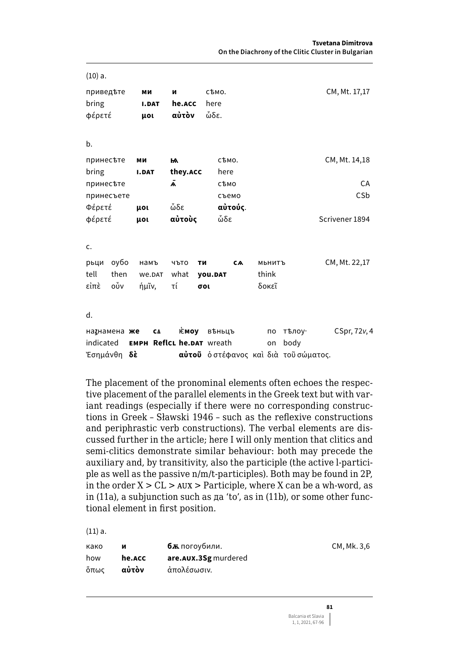| $(10)$ a.                                       |                                 |                      |                       |                                                                            |                |
|-------------------------------------------------|---------------------------------|----------------------|-----------------------|----------------------------------------------------------------------------|----------------|
| приведъте<br>bring<br>φέρετέ                    | МИ<br><b>I.DAT</b><br>μoι       | N<br>he.ACC<br>αὐτὸν | съмо.<br>here<br>ὧδε. |                                                                            | CM, Mt. 17,17  |
| b.                                              |                                 |                      |                       |                                                                            |                |
| принесъте<br>bring                              | МИ<br><b>I.DAT</b>              | м<br>they.acc        | съмо.<br>here         |                                                                            | CM, Mt. 14,18  |
| принесъте                                       |                                 | A                    | сѣмо                  |                                                                            | CA             |
| принесъете                                      |                                 |                      | съемо                 |                                                                            | CSb            |
| Φέρετέ                                          | <b>HOL</b>                      | ὧδε                  | αὐτούς.               |                                                                            |                |
| φέρετέ<br>c.                                    | <b>HOL</b>                      | αὐτοὺς               | ὧδε                   |                                                                            | Scrivener 1894 |
| оубо<br>рьци                                    | намъ                            | чъто<br>ТИ           | CA                    | МЬНИТЪ                                                                     | CM, Mt. 22,17  |
| tell<br>then                                    | We.DAT                          | what                 | <b>you.DAT</b>        | think                                                                      |                |
| οὖν<br>εἰπὲ                                     | ήμῖν,                           | τί                   | σοι                   | δοκεῖ                                                                      |                |
| d.                                              |                                 |                      |                       |                                                                            |                |
| натнамена же<br>indicated<br>Έσημάνθη <b>δὲ</b> | CA<br>EMPH ReflcL he.DAT wreath | <b>⊧смоу</b>         | въньцъ                | тѣлоу∙<br>по<br>body<br>on<br><b>αὐτοῦ</b> ὁ στέφανος καὶ διὰ τοῦ σώματος. | CSpr, 72v, 4   |

The placement of the pronominal elements often echoes the respective placement of the parallel elements in the Greek text but with variant readings (especially if there were no corresponding constructions in Greek – Sławski 1946 – such as the reflexive constructions and periphrastic verb constructions). The verbal elements are discussed further in the article; here I will only mention that clitics and semi-clitics demonstrate similar behaviour: both may precede the auxiliary and, by transitivity, also the participle (the active l-participle as well as the passive n/m/t-participles). Both may be found in 2P, in the order  $X > CL > AUX >$  Participle, where X can be a wh-word, as in (11a), a subjunction such as да 'to', as in (11b), or some other functional element in first position.

(11) a.

| како | и      | <b>6ж</b> погоубили.   | CM, Mk. 3,6 |
|------|--------|------------------------|-------------|
| how  | he.ACC | are. AUX. 3Sg murdered |             |
| ὄπως | αὐτὸν  | άπολέσωσιν.            |             |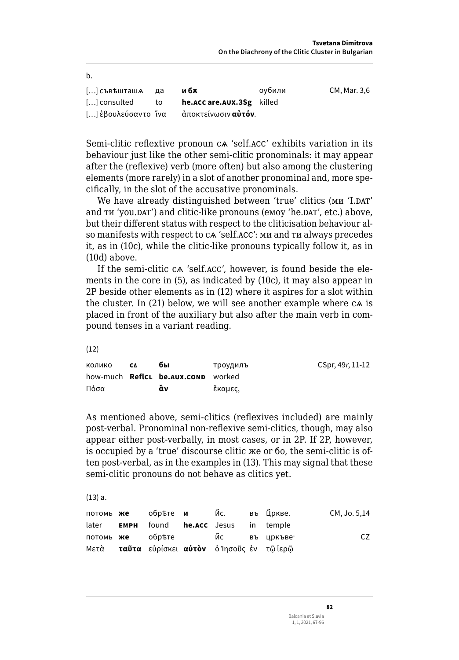| <b>D.</b>           |       |                             |        |              |
|---------------------|-------|-----------------------------|--------|--------------|
| [] съвъшташА да     |       | и бѫ                        | оубили | CM. Mar. 3.6 |
| [] consulted        | to to | he.acc are.aux.3Sg killed   |        |              |
| [] ἐβουλεύσαντο ἵνα |       | άποκτείνωσιν <b>αὐτόν</b> . |        |              |

Semi-clitic reflextive pronoun ca 'self.acc' exhibits variation in its behaviour just like the other semi-clitic pronominals: it may appear after the (reflexive) verb (more often) but also among the clustering elements (more rarely) in a slot of another pronominal and, more specifically, in the slot of the accusative pronominals.

We have already distinguished between 'true' clitics (MH 'I.DAT' and TH 'you.DAT') and clitic-like pronouns (emoy 'he.DAT', etc.) above, but their different status with respect to the cliticisation behaviour also manifests with respect to ca 'self. ACC': MH and TH always precedes it, as in (10c), while the clitic-like pronouns typically follow it, as in  $(10d)$  above.

If the semi-clitic ca 'self.acc', however, is found beside the elements in the core in (5), as indicated by (10c), it may also appear in 2P beside other elements as in (12) where it aspires for a slot within the cluster. In (21) below, we will see another example where ca is placed in front of the auxiliary but also after the main verb in compound tenses in a variant reading.

 $(12)$ 

 $\mathbf{L}$ 

| колико | СA | бы                                        | троудилъ | CSpr, 49r, 11-12 |
|--------|----|-------------------------------------------|----------|------------------|
|        |    | how-much <b>ReflcL be.AUX.COND</b> worked |          |                  |
| Πόσα   |    | äν                                        | ἔκαμες,  |                  |

As mentioned above, semi-clitics (reflexives included) are mainly post-verbal. Pronominal non-reflexive semi-clitics, though, may also appear either post-verbally, in most cases, or in 2P. If 2P, however, is occupied by a 'true' discourse clitic же or бо, the semi-clitic is often post-verbal, as in the examples in (13). This may signal that these semi-clitic pronouns do not behave as clitics yet.

 $(13) a.$ 

|       |                                                            |  |  | CM, Jo. 5,14 |
|-------|------------------------------------------------------------|--|--|--------------|
| later | <b>EMPH</b> found <b>he.acc</b> Jesus in temple            |  |  |              |
|       | потомь же обръте и ис въ цркъве                            |  |  | CZ.          |
|       | Μετὰ <b>ταῦτα</b> εὑρίσκει <b>αὐτὸν</b> ὁ Ἰησοῦς ἐν τῶἱερῶ |  |  |              |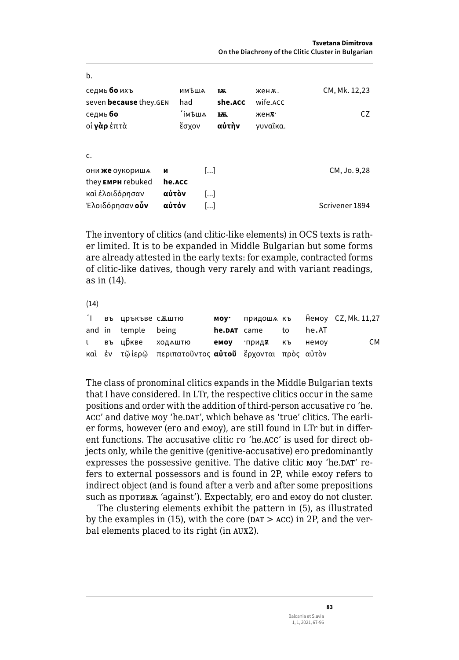| D.                                                   |                |                        |              |                   |                |
|------------------------------------------------------|----------------|------------------------|--------------|-------------------|----------------|
| седмь <b>бо</b> ихъ<br>seven <b>because</b> they.GEN |                | имъша<br>had           | Ѭ<br>she.ACC | женж.<br>wife.ACC | CM, Mk. 12,23  |
| седмь <b>бо</b><br>οί <b>γὰρ</b> ἑπτὰ                |                | `імѣшѧ<br>ἔσχον        | ѭ<br>αὐτὴν   | женж.<br>γυναῖκα. | CZ             |
| c.<br>они же оукориша<br>they EMPH rebuked           | и<br>he.ACC    | $\lceil  \rceil$       |              |                   | CM, Jo. 9,28   |
| καὶ ἐλοιδόρησαν<br>Ἐλοιδόρησαν <b>οὖν</b>            | αὐτὸν<br>αὐτόν | $\lceil  \rceil$<br>[] |              |                   | Scrivener 1894 |

The inventory of clitics (and clitic-like elements) in OCS texts is rather limited. It is to be expanded in Middle Bulgarian but some forms are already attested in the early texts: for example, contracted forms of clitic-like datives, though very rarely and with variant readings, as in  $(14)$ .

 $(14)$ 

|  | I въ цръкъве с <i>к</i> штю |                                                              |                |       | моу· придоша къ немоу CZ, Mk. 11,27 |
|--|-----------------------------|--------------------------------------------------------------|----------------|-------|-------------------------------------|
|  | and in temple being         |                                                              | he.DAT came to | he.AT |                                     |
|  |                             | l въщриве ходаштю <b>емоу</b> прид <b>х</b> къ немоу         |                |       | CM                                  |
|  |                             | καὶ ἐν τῶἱερῶ περιπατοῦντος <b>αὐτοῦ</b> ἔρχονται πρὸς αὐτὸν |                |       |                                     |

The class of pronominal clitics expands in the Middle Bulgarian texts that I have considered. In LTr, the respective clitics occur in the same positions and order with the addition of third-person accusative ro 'he. ACC' and dative MOV 'he.DAT', which behave as 'true' clitics. The earlier forms, however (ero and emov), are still found in LTr but in different functions. The accusative clitic ro 'he.ACC' is used for direct objects only, while the genitive (genitive-accusative) ero predominantly expresses the possessive genitive. The dative clitic moy 'he.DAT' refers to external possessors and is found in 2P, while emoy refers to indirect object (and is found after a verb and after some prepositions such as противж 'against'). Expectably, его and емоу do not cluster.

The clustering elements exhibit the pattern in (5), as illustrated by the examples in (15), with the core ( $\text{DAT} > \text{ACC}$ ) in 2P, and the verbal elements placed to its right (in AUX2).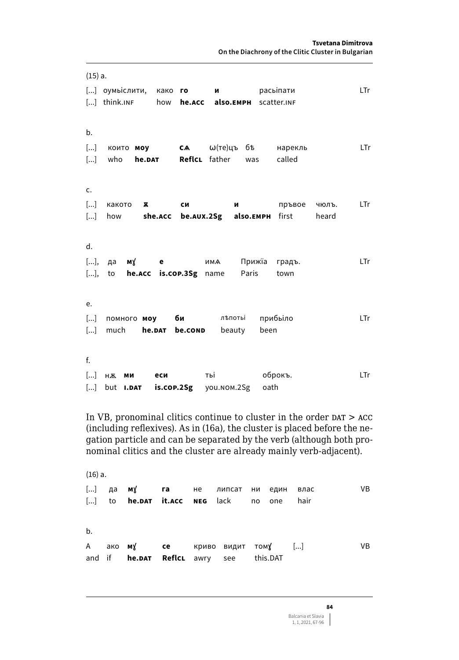| (15) a. |                                      |                |                                                  |              |       |
|---------|--------------------------------------|----------------|--------------------------------------------------|--------------|-------|
|         | [] оумыслити, како <b>го</b>         |                | M                                                | расыпати     | LTr   |
|         |                                      |                | [] think.INF how he.ACC also.EMPH scatter.INF    |              |       |
|         |                                      |                |                                                  |              |       |
| b.      |                                      |                |                                                  |              |       |
|         |                                      |                | [] които <b>моу са</b> $\omega$ (те)цъбъ нарекль |              | LTr   |
|         | [] who <b>he.DAT ReflcL</b> father   |                | was                                              | called       |       |
|         |                                      |                |                                                  |              |       |
| c.      |                                      |                |                                                  |              |       |
|         | [] какото<br>$\overline{\mathbf{x}}$ | си             | M                                                | пръвое чюлъ. | LTr   |
|         | [] how                               |                | she.acc be.aux.2Sg also.EMPH first               |              | heard |
|         |                                      |                |                                                  |              |       |
| d.      |                                      |                |                                                  |              |       |
|         |                                      |                | [], да <b>м</b> у <b>е</b> има Прижїа            | градъ.       | LTr   |
|         | [], to he.acc is.cop.3Sg name        |                | Paris                                            | town         |       |
|         |                                      |                |                                                  |              |       |
| e.      |                                      |                |                                                  |              |       |
|         | [] помного <b>моу би</b>             |                | лъпоты                                           | прибыло      | LTr   |
|         | $[]$ much                            | he.DAT be.COND | beauty                                           | been         |       |
|         |                                      |                |                                                  |              |       |
| f.      |                                      |                |                                                  |              |       |
|         | $[]$ H $\overline{A}$<br>МИ          | еси            | тыі по політичн                                  | оброкъ.      | LTr   |
| $[]$    | but <b>I.DAT</b> is.cop.2Sg          |                | you.NOM.2Sg oath                                 |              |       |
|         |                                      |                |                                                  |              |       |

In VB, pronominal clitics continue to cluster in the order  $DATA > ACC$ (including reflexives). As in (16a), the cluster is placed before the negation particle and can be separated by the verb (although both pronominal clitics and the cluster are already mainly verb-adjacent).

| (16) a. |                                                                                               |  |  |  |     |
|---------|-----------------------------------------------------------------------------------------------|--|--|--|-----|
|         | [] to <b>he.pat it.acc neg</b> lack no one hair                                               |  |  |  | VB. |
| b.      |                                                                                               |  |  |  |     |
|         | A ако $M_X$ <b>ce</b> криво видит том $X$ []<br>and if <b>he.DAT ReflcL</b> awry see this.DAT |  |  |  | VB  |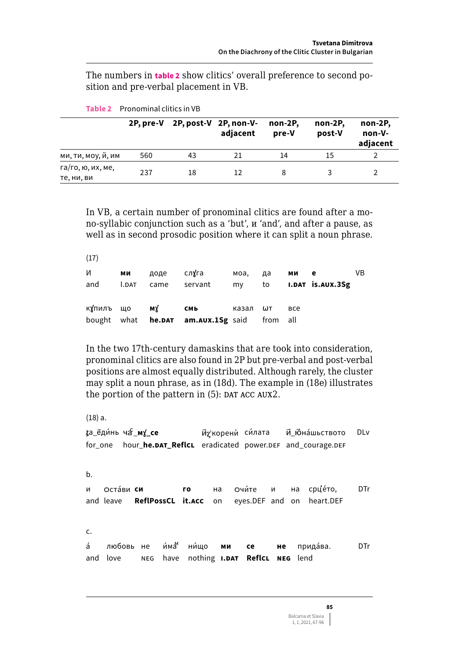The numbers in table 2 show clitics' overall preference to second position and pre-verbal placement in VB.

|                                 | 2P, pre-V |    | 2P, post-V 2P, non-V-<br>adiacent | non-2P.<br>pre-V | non-2P,<br>post-V | non-2P,<br>non-V-<br>adjacent |
|---------------------------------|-----------|----|-----------------------------------|------------------|-------------------|-------------------------------|
| ми, ти, моу, й, им              | 560       | 43 | 21                                | 14               | 15                |                               |
| га/го, ю, их, ме,<br>те, ни, ви | 237       | 18 | 12                                |                  |                   |                               |

Table 2 Pronominal clitics in VB

In VB, a certain number of pronominal clitics are found after a mono-syllabic conjunction such as a 'but',  $\mu$  'and', and after a pause, as well as in second prosodic position where it can split a noun phrase.

| (1/)      |              |      |                                           |       |          |           |                  |    |
|-----------|--------------|------|-------------------------------------------|-------|----------|-----------|------------------|----|
| И         | ми           | доде | слуга                                     | моа.  | да       | ми<br>e e |                  | VB |
| and       | <b>I.DAT</b> | came | servant                                   | my    | to       |           | I.DAT IS.AUX.3Sg |    |
|           |              |      |                                           |       |          |           |                  |    |
| купилъ що |              | му   | СМЬ                                       | казал | ωт       | все       |                  |    |
|           |              |      | bought what <b>he.DAT am.AUX.1Sg</b> said |       | from all |           |                  |    |

In the two 17th-century damaskins that are took into consideration, pronominal clitics are also found in 2P but pre-verbal and post-verbal positions are almost equally distributed. Although rarely, the cluster may split a noun phrase, as in (18d). The example in (18e) illustrates the portion of the pattern in (5): DAT ACC AUX2.

 $(18) a.$ 

за\_ёди́нь ча \_му\_се Ид'корени силата Й\_Юнаиьството DLv for\_one hour\_he.DAT\_ReflcL eradicated power.DEF and\_courage.DEF  $b.$ Остави си  $\overline{A}$ **ro** на Очи́те  $\mathbf{M}$ на срцето, **DTr** and leave ReflPossCL it.ACC on eyes.DEF and on heart.DEF c.  $\leq$ любовь не и́ма ни́що прида́ва. **DTr** не ми CA and love have nothing **I.DAT ReflcL NEG** lend **NEG**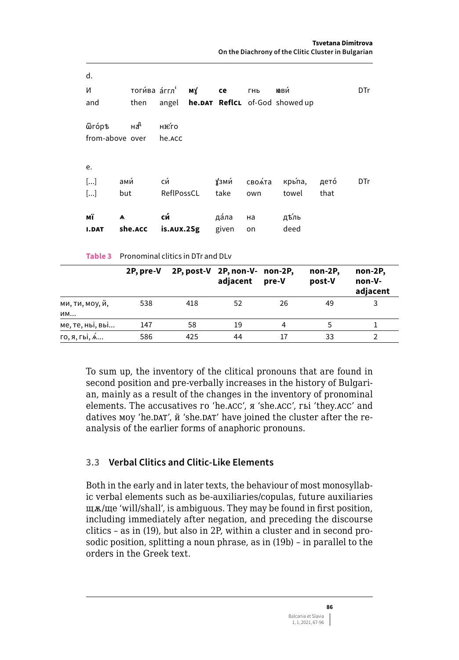Table 3 Pronominal clitics in DTr and DLv

|                       | 2P, pre-V |     | 2P, post-V 2P, non-V- non-2P,<br>adjacent | pre-V | non-2P,<br>post-V | non-2P,<br>non-V-<br>adjacent |
|-----------------------|-----------|-----|-------------------------------------------|-------|-------------------|-------------------------------|
| ми, ти, моу, й,<br>им | 538       | 418 | 52                                        | 26    | 49                | 3                             |
| ме, те, ньі, вьі…     | 147       | 58  | 19                                        | 4     |                   |                               |
| го, я, г <b>ы, ́я</b> | 586       | 425 | 44                                        |       | 33                |                               |

To sum up, the inventory of the clitical pronouns that are found in second position and pre-verbally increases in the history of Bulgarian, mainly as a result of the changes in the inventory of pronominal elements. The accusatives го 'he.ACC', я 'she.ACC', гы 'they.ACC' and datives moy 'he.DAT',  $\check{\text{n}}$  'she.DAT' have joined the cluster after the reanalysis of the earlier forms of anaphoric pronouns.

### 3.3 Verbal Clitics and Clitic-Like Elements

Both in the early and in later texts, the behaviour of most monosyllabic verbal elements such as be-auxiliaries/copulas, future auxiliaries  $\mu$ ж/ще 'will/shall', is ambiguous. They may be found in first position, including immediately after negation, and preceding the discourse clitics - as in (19), but also in 2P, within a cluster and in second prosodic position, splitting a noun phrase, as in (19b) - in parallel to the orders in the Greek text.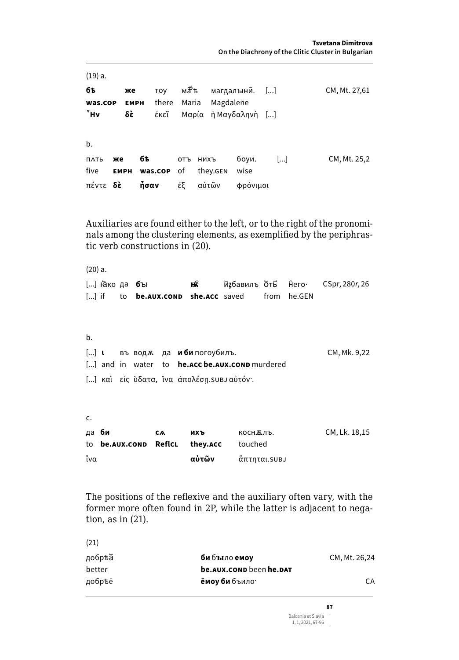$(19) a.$ **бѣ** TOV маћ магдалънии. [...] CM, Mt. 27,61 же Magdalene there Maria was.cop **EMPH**  $^7$ Hv δÈ έκεῖ Μαρία ή Μανδαληνή [...]  $b.$ **бѣ** боуи.  $\left[\ldots\right]$ CM, Mt. 25,2 ПАТЬ же отъ нихъ five wise **EMPH** was.cop of they.GEN πέντε δέ ἧσαν έξ αὐτῶν φρόνιμοι

Auxiliaries are found either to the left, or to the right of the pronominals among the clustering elements, as exemplified by the periphrastic verb constructions in (20).

 $(20) a.$ [...] Ёако да бъі нÂ Избавилъ От Ĥero· CSpr, 280r, 26  $[...]$  if to be.AUX.COND she.ACC saved from he.GEN

| b. |  |  |                                                      |              |
|----|--|--|------------------------------------------------------|--------------|
|    |  |  | [] <b>t</b> въводж да <b>иби</b> погоубилъ.          | CM, Mk. 9,22 |
|    |  |  | [] and in water to <b>he.accbe.aux.conp</b> murdered |              |
|    |  |  | [] και είς ὕδατα, ἵνα ἀπολέση. su b αὐτόν·.          |              |

| <u>.</u> |                                       |    |       |              |               |
|----------|---------------------------------------|----|-------|--------------|---------------|
|          | да <b>би</b>                          | CA | ихъ   | коснжлъ.     | CM, Lk. 18,15 |
|          | to <b>be.aux.conp ReflcL</b> they.acc |    |       | touched      |               |
| ἵνα      |                                       |    | αὐτῶν | άπτηται.suвJ |               |

The positions of the reflexive and the auxiliary often vary, with the former more often found in 2P, while the latter is adjacent to negation, as in  $(21)$ .

| (21)   |                                   |               |
|--------|-----------------------------------|---------------|
| добрѣа | би бътло емоу                     | CM, Mt. 26,24 |
| better | be.aux.conp been he.pat           |               |
| добрѣё | <b>ёмоу би</b> бъило <sup>.</sup> | CА            |
|        |                                   |               |

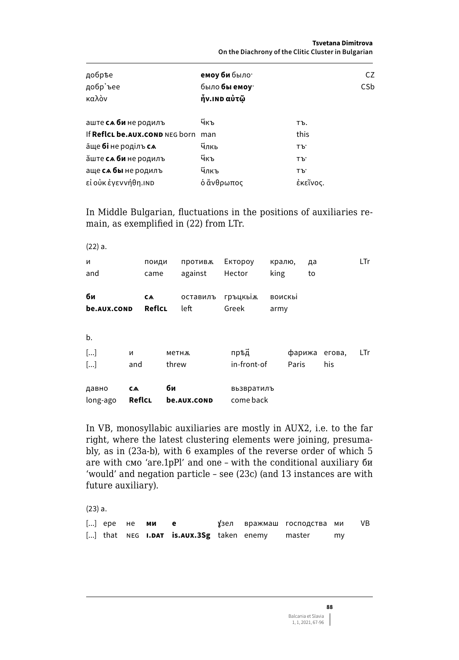Tsvetana Dimitrova On the Diachrony of the Clitic Cluster in Bulgarian

| добръе<br>добр'ъее<br>καλὸν        | емоу би было <sup>.</sup><br>было бы емоу<br>ἦν.ιΝD αὐτῷ | CZ.<br>CS <sub>b</sub> |
|------------------------------------|----------------------------------------------------------|------------------------|
| аште са би не родилъ               | Чкъ                                                      | ΤЪ.                    |
| If ReflcL be.AUX.COND NEG born     | man                                                      | this                   |
| аще <b>бі</b> не роділъ <b>с</b> м | Члкь                                                     | TЪ'                    |
| йште <b>са би</b> не родилъ        | ӵ҃ҝъ                                                     | TЪ'                    |
| аще са бы не родилъ                | Члкъ                                                     | TЪ'                    |
| εἰ οὐκ ἐγεννήθη.ιΝD                | ό ἄνθρωπος                                               | έκεῖνος.               |

In Middle Bulgarian, fluctuations in the positions of auxiliaries remain, as exemplified in (22) from LTr.

| (22) a.               |        |           |       |             |             |        |        |    |        |     |
|-----------------------|--------|-----------|-------|-------------|-------------|--------|--------|----|--------|-----|
| И                     |        | поиди     |       | противж     | Ектороу     | кралю, |        | да |        | LTr |
| and                   |        | came      |       | against     | Hector      | king   |        | to |        |     |
| би                    |        | <b>CA</b> |       | оставилъ    | гръцкых     | воискы |        |    |        |     |
| be.aux.conp           |        | ReflcL    |       | left        | Greek       | army   |        |    |        |     |
|                       |        |           |       |             |             |        |        |    |        |     |
| b.                    |        |           |       |             |             |        |        |    |        |     |
| $\lceil  \rceil$      | и      |           | метнж |             | прѣД        |        | фарижа |    | егова, | LTr |
| $\left[\ldots\right]$ | and    |           | threw |             | in-front-of |        | Paris  |    | his    |     |
| давно                 | CA     |           | би    |             | вьзвратилъ  |        |        |    |        |     |
| long-ago              | ReflcL |           |       | be.aux.cond | come back   |        |        |    |        |     |

In VB, monosyllabic auxiliaries are mostly in AUX2, i.e. to the far right, where the latest clustering elements were joining, presumably, as in (23a-b), with 6 examples of the reverse order of which 5 are with смо 'are.1pPl' and one - with the conditional auxiliary би 'would' and negation particle - see (23c) (and 13 instances are with future auxiliary).

 $(23) a.$ 

| [] ере не <b>ми</b> |  |                                                 |  | ұзел вражмаш господства ми |    | VB |
|---------------------|--|-------------------------------------------------|--|----------------------------|----|----|
|                     |  | [] that NEG <b>I.DAT is.AUX.3Sg</b> taken enemy |  | master                     | my |    |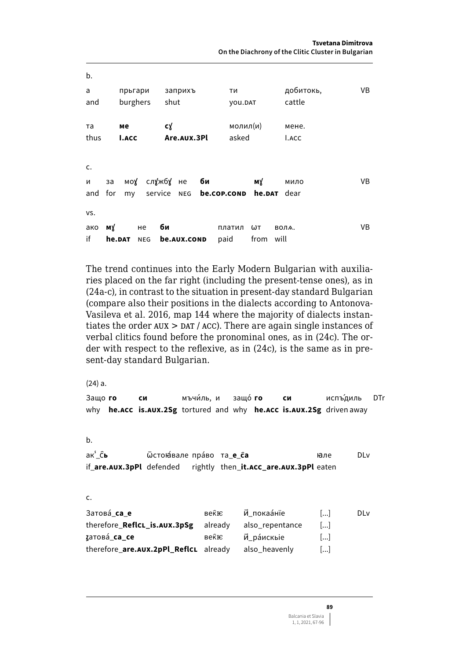b. прьгари заприхъ добитокь, **VB**  $\mathbf{a}$ ти and burghers shut cattle VOU.DAT cy молил(и)  $T_{\rm A}$ мене. мe thus Are.AUX.3Pl asked **I.ACC LACC** c. **V<sub>R</sub>** моу службу не би мÝ  $\mathbf{M}$ за мило service NEG be.cop.cond he.DAT dear and for mv vs. ако му би платил  $\omega$ т **ROUA VB** нe if he.DAT NEG be.aux.cond paid from will

The trend continues into the Early Modern Bulgarian with auxiliaries placed on the far right (including the present-tense ones), as in (24a-c), in contrast to the situation in present-day standard Bulgarian (compare also their positions in the dialects according to Antonova-Vasileva et al. 2016, map 144 where the majority of dialects instantiates the order  $AUX > DAT / ACC)$ . There are again single instances of verbal clitics found before the pronominal ones, as in (24c). The order with respect to the reflexive, as in  $(24c)$ , is the same as in present-day standard Bulgarian.

 $(24) a.$ 

| Защо го |                       | си<br>why he.ACC is.AUX.2Sg tortured and why he.ACC is.AUX.2Sg driven away                         | мъчи́ль, и защо́ <b>го</b> |         |                 | си | испъ́диль             |             | DTı |
|---------|-----------------------|----------------------------------------------------------------------------------------------------|----------------------------|---------|-----------------|----|-----------------------|-------------|-----|
| b.      |                       |                                                                                                    |                            |         |                 |    |                       |             |     |
| ак' Сь  |                       | Фстоназале право та <b>е са</b><br>if_are.AUX.3pPl defended rightly then_it.ACC_are.AUX.3pPl eaten |                            |         |                 |    | нале                  | <b>DL</b> v |     |
| c.      |                       |                                                                                                    |                            |         |                 |    |                       |             |     |
|         | Затова́ <b>са е</b>   |                                                                                                    |                            | веќю    | Й покаа́нїе     |    | $\left[\ldots\right]$ | <b>DL</b> v |     |
|         |                       | therefore_ReflcL_is.AUX.3pSg                                                                       |                            | already | also_repentance |    | $\left[\ldots\right]$ |             |     |
|         | датова́_ <b>ca_ce</b> |                                                                                                    |                            | веќю    | Й_ра́искые      |    | $\left[\ldots\right]$ |             |     |
|         |                       | therefore_are.AUX.2pPl_ReflcL already                                                              |                            |         | also heavenly   |    |                       |             |     |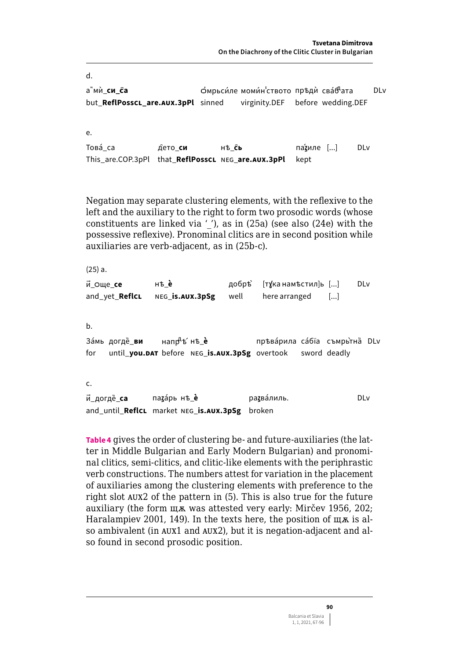d. а"ми си са Омрьси́ле моми́н ството пръдѝ сва́б<sup>н</sup>ата DLv virginity.DEF before wedding.DEF but ReflPosscL are.AUX.3pPl sinned e. Това́ са нѣ ĈЬ па'иле [...] **DLv** дето **си** This\_are.COP.3pPl that\_ReflPosscL NEG\_are.AUX.3pPl kept

Negation may separate clustering elements, with the reflexive to the left and the auxiliary to the right to form two prosodic words (whose constituents are linked via  $'$ ), as in (25a) (see also (24e) with the possessive reflexive). Pronominal clitics are in second position while auxiliaries are verb-adjacent, as in (25b-c).

 $(25) a.$ й\_още\_се нѣè [тұка намъстил]ь [...] добръ̀ DLv and yet ReflcL here arranged NEG IS.AUX.3pSg well  $\left[\ldots\right]$  $h_{-}$ Замь догдё ви напр<sup>4</sup>ъ́нъ\_ѐ пръварила сабіа съмрьтна DLv

until you.DAT before NEG is.AUX.3pSg overtook sword deadly for

c.

паzáрь нѣ è ратвалиль. DLv й\_догдё\_**са** and\_until\_ReflcL market NEG\_is.AUX.3pSg broken

Table 4 gives the order of clustering be- and future-auxiliaries (the latter in Middle Bulgarian and Early Modern Bulgarian) and pronominal clitics, semi-clitics, and clitic-like elements with the periphrastic verb constructions. The numbers attest for variation in the placement of auxiliaries among the clustering elements with preference to the right slot AUX2 of the pattern in (5). This is also true for the future auxiliary (the form щж was attested very early: Mircev 1956, 202; Haralampiev 2001, 149). In the texts here, the position of  $\mu$  a is also ambivalent (in AUX1 and AUX2), but it is negation-adjacent and also found in second prosodic position.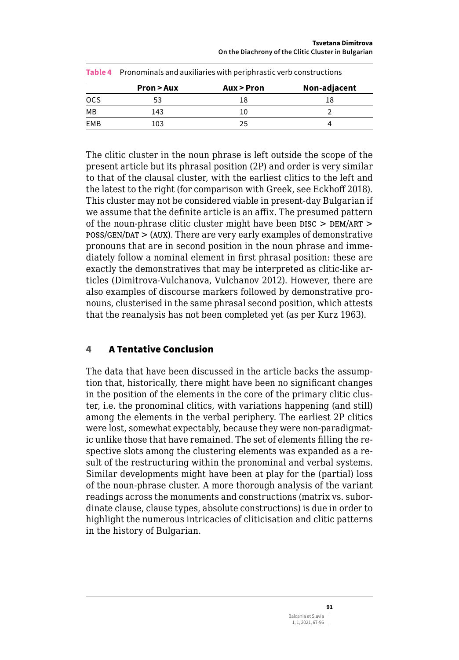**Tsvetana Dimitrova On the Diachrony of the Clitic Cluster in Bulgarian** 

|            | Table 4 Pronominals and auxiliaries with periphrastic verb constructions |            |              |  |  |  |  |  |
|------------|--------------------------------------------------------------------------|------------|--------------|--|--|--|--|--|
|            | Pron > Aux                                                               | Aux > Pron | Non-adjacent |  |  |  |  |  |
| <b>OCS</b> | 53                                                                       | 18         | 18           |  |  |  |  |  |
| MВ         | 143                                                                      | 10         |              |  |  |  |  |  |
| EMB        | 103                                                                      | 25         |              |  |  |  |  |  |

The clitic cluster in the noun phrase is left outside the scope of the present article but its phrasal position (2P) and order is very similar to that of the clausal cluster, with the earliest clitics to the left and the latest to the right (for comparison with Greek, see Eckhoff 2018). This cluster may not be considered viable in present-day Bulgarian if we assume that the definite article is an affix. The presumed pattern of the noun-phrase clitic cluster might have been  $DISC > DEM/ART >$  $pos/GEN/DAT$  > (AUX). There are very early examples of demonstrative pronouns that are in second position in the noun phrase and immediately follow a nominal element in first phrasal position: these are exactly the demonstratives that may be interpreted as clitic-like articles (Dimitrova-Vulchanova, Vulchanov 2012). However, there are also examples of discourse markers followed by demonstrative pronouns, clusterised in the same phrasal second position, which attests that the reanalysis has not been completed yet (as per Kurz 1963).

## 4 A Tentative Conclusion

The data that have been discussed in the article backs the assumption that, historically, there might have been no significant changes in the position of the elements in the core of the primary clitic cluster, i.e. the pronominal clitics, with variations happening (and still) among the elements in the verbal periphery. The earliest 2P clitics were lost, somewhat expectably, because they were non-paradigmatic unlike those that have remained. The set of elements filling the respective slots among the clustering elements was expanded as a result of the restructuring within the pronominal and verbal systems. Similar developments might have been at play for the (partial) loss of the noun-phrase cluster. A more thorough analysis of the variant readings across the monuments and constructions (matrix vs. subordinate clause, clause types, absolute constructions) is due in order to highlight the numerous intricacies of cliticisation and clitic patterns in the history of Bulgarian.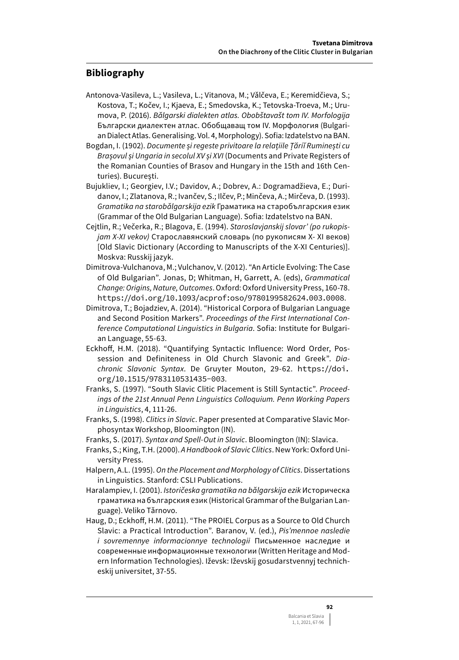### **Bibliography**

- Antonova-Vasileva, L.; Vasileva, L.; Vitanova, M.; Vǎlčeva, E.; Keremidčieva, S.; Kostova, T.; Kočev, I.; Kjaeva, E.; Smedovska, K.; Tetovska-Troeva, M.; Urumova, P. (2016). *Bǎlgarski dialekten atlas. Obobštavašt tom IV. Morfologija*  Български диалектен атлас. Обобщаващ том IV. Морфология (Bulgarian Dialect Atlas. Generalising. Vol. 4, Morphology). Sofia: Izdatelstvo na BAN.
- Bogdan, I. (1902). *Documente și regeste privitoare la relațiile Țăriĭ Ruminești cu Brașovul și Ungaria in secolul XV și XVI* (Documents and Private Registers of the Romanian Counties of Brasov and Hungary in the 15th and 16th Centuries). București.
- Bujukliev, I.; Georgiev, I.V.; Davidov, A.; Dobrev, A.: Dogramadžieva, E.; Duridanov, I.; Zlatanova, R.; Ivančev, S.; Ilčev, P.; Minčeva, A.; Mirčeva, D. (1993). *Gramatika na starobǎlgarskija ezik* Граматика на старобългарския език (Grammar of the Old Bulgarian Language). Sofia: Izdatelstvo na BAN.
- Cejtlin, R.; Večerka, R.; Blagova, E. (1994). *Staroslavjanskij slovar' (po rukopisjam X-XI vekov)* Старославянский словарь (по рукописям X- XI веков) [Old Slavic Dictionary (According to Manuscripts of the X-XI Centuries)]. Moskva: Russkij jazyk.
- Dimitrova-Vulchanova, M.; Vulchanov, V. (2012). "An Article Evolving: The Case of Old Bulgarian". Jonas, D; Whitman, H, Garrett, A. (eds), *Grammatical Change: Origins, Nature, Outcomes*.Oxford: Oxford University Press, 160-78. <https://doi.org/10.1093/acprof:oso/9780199582624.003.0008>.
- Dimitrova, T.; Bojadziev, A. (2014). "Historical Corpora of Bulgarian Language and Second Position Markers". *Proceedings of the First International Conference Computational Linguistics in Bulgaria*. Sofia: Institute for Bulgarian Language, 55-63.
- Eckhoff, H.M. (2018). "Quantifying Syntactic Influence: Word Order, Possession and Definiteness in Old Church Slavonic and Greek". *Diachronic Slavonic Syntax*. De Gruyter Mouton, 29-62. [https://doi.](https://doi.org/10.1515/9783110531435-003) [org/10.1515/9783110531435-003](https://doi.org/10.1515/9783110531435-003).
- Franks, S. (1997). "South Slavic Clitic Placement is Still Syntactic". *Proceedings of the 21st Annual Penn Linguistics Colloquium. Penn Working Papers in Linguistics*, 4, 111-26.
- Franks, S. (1998). *Clitics in Slavic*. Paper presented at Comparative Slavic Morphosyntax Workshop, Bloomington (IN).
- Franks, S. (2017). *Syntax and Spell-Out in Slavic*. Bloomington (IN): Slavica.
- Franks, S.; King, T.H. (2000). *A Handbook of Slavic Clitics*.New York: Oxford University Press.
- Halpern, A.L. (1995). *On the Placement and Morphology of Clitics*. Dissertations in Linguistics. Stanford: CSLI Publications.
- Haralampiev, I. (2001). *Istoričeska gramatika na bǎlgarskija ezik* Историческа граматика на българския език (Historical Grammar of the Bulgarian Language). Veliko Tǎrnovo.
- Haug, D.; Eckhoff, H.M. (2011). "The PROIEL Corpus as a Source to Old Church Slavic: a Practical Introduction". Baranov, V. (ed.), *Pis'mennoe nasledie i sovremennye informacionnye technologii* Письменное наследие и современные информационные технологии (Written Heritage and Modern Information Technologies). Iževsk: Iževskij gosudarstvennyj technicheskij universitet, 37-55.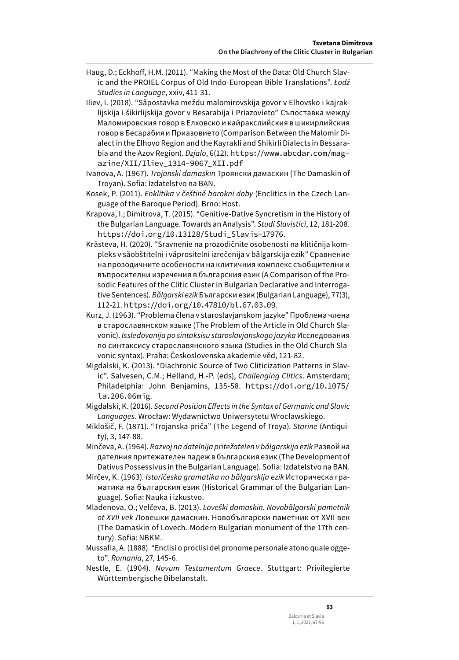- Haug, D.; Eckhoff, H.M. (2011). "Making the Most of the Data: Old Church Slavic and the PROIEL Corpus of Old Indo-European Bible Translations". *Łodź Studies in Language*, xxiv, 411-31.
- Iliev, I. (2018). "Sǎpostavka meždu malomirovskija govor v Elhovsko i kajraklijskija i šikirlijskija govor v Besarabija i Priazovieto" Съпоставка между Маломировския говор в Елховско и кайракслийския в шикирлийския говор в Бесарабия и Приазовието (Comparison Between the Malomir Dialect in the Elhovo Region and the Kayrakli and Shikirli Dialects in Bessarabia and the Azov Region). *Dzjalo*, 6(12). [https://www.abcdar.com/mag](https://www.abcdar.com/magazine/XII/Iliev_1314-9067_XII.pdf)azine/XII/Iliev 1314-9067 XII.pdf
- Ivanova, A. (1967). *Trojanski damaskin* Троянски дамаскин (The Damaskin of Troyan). Sofia: Izdatelstvo na BAN.
- Kosek, P. (2011). *Enklitika v češtině barokni doby* (Enclitics in the Czech Language of the Baroque Period). Brno: Host.
- Krapova, I.; Dimitrova, T. (2015). "Genitive-Dative Syncretism in the History of the Bulgarian Language. Towards an Analysis". *Studi Slavistici*, 12, 181-208. [https://doi.org/10.13128/Studi\\_Slavis-17976](https://doi.org/10.13128/Studi_Slavis-17976).
- Krăsteva, H. (2020). "Sravnenie na prozodičnite osobenosti na klitičnija kompleks v sǎobštitelni i vǎprositelni izrečenija v bǎlgarskija ezik" Сравнение на прозодичните особености на клитичния комплекс съобщителни и въпросителни изречения в българския език (A Comparison of the Prosodic Features of the Clitic Cluster in Bulgarian Declarative and Interrogative Sentences). *Bǎlgarski ezik* Български език (Bulgarian Language), 77(3), 112-21. <https://doi.org/10.47810/bl.67.03.09>.
- Kurz, J. (1963). "Problema člena v staroslavjanskom jazyke" Проблема члена в старославянском языке (The Problem of the Article in Old Church Slavonic). *Issledovanija po sintaksisu staroslavjanskogo jazyka* Исследования по синтаксису старославянского языка (Studies in the Old Church Slavonic syntax). Praha: Československa akademie věd, 121-82.
- Migdalski, K. (2013). "Diachronic Source of Two Cliticization Patterns in Slavic". Salvesen, C.M.; Helland, H.-P. (eds), *Challenging Clitics*. Amsterdam; Philadelphia: John Benjamins, 135-58. [https://doi.org/10.1075/](https://doi.org/10.1075/la.206.06mig) [la.206.06mig](https://doi.org/10.1075/la.206.06mig).
- Migdalski, K. (2016). *Second Position Effects in the Syntax of Germanic and Slavic Languages*. Wrocław: Wydawnictwo Uniwersytetu Wrocławskiego.
- Miklošič, F. (1871). "Trojanska priča" (The Legend of Troya). *Starine* (Antiquity), 3, 147-88.
- Minčeva, A. (1964). *Razvoj na datelnija pritežatelen v bǎlgarskija ezik* Развой на дателния притежателен падеж в българския език (The Development of Dativus Possessivus in the Bulgarian Language). Sofia: Izdatelstvo na BAN.
- Mirčev, K. (1963). *Istoričeska gramatika na bǎlgarskija ezik* Историческа граматика на българския език (Historical Grammar of the Bulgarian Language). Sofia: Nauka i izkustvo.
- Mladenova, O.; Velčeva, B. (2013). *Loveški damaskin. Novobǎlgarski pametnik ot XVII vek* Ловешки дамаскин. Новобългарски паметник от XVII век (The Damaskin of Lovech. Modern Bulgarian monument of the 17th century). Sofia: NBKM.
- Mussafia, A. (1888). "Enclisi o proclisi del pronome personale atono quale oggeto". *Romania*, 27, 145-6.
- Nestle, E. (1904). *Novum Testamentum Graece*. Stuttgart: Privilegierte Württembergische Bibelanstalt.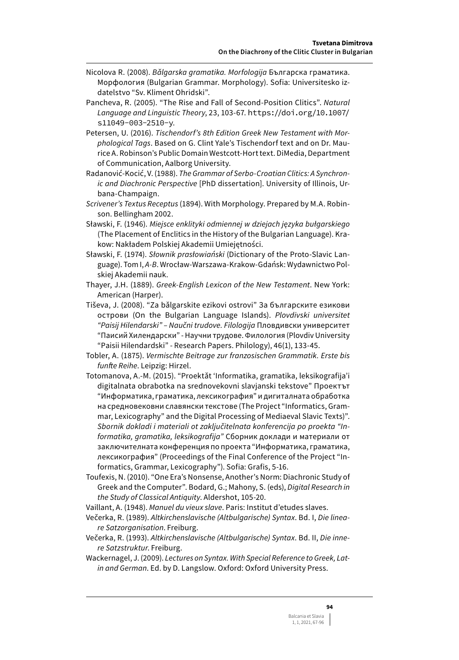- Nicolova R. (2008). *Bǎlgarska gramatika. Morfologija* Българска граматика. Морфология (Bulgarian Grammar. Morphology). Sofia: Universitesko izdatelstvo "Sv. Kliment Ohridski".
- Pancheva, R. (2005). "The Rise and Fall of Second-Position Clitics". *Natural Language and Linguistic Theory*, 23, 103-67. [https://doi.org/10.1007/](https://doi.org/10.1007/s11049-003-2510-y) [s11049-003-2510-y](https://doi.org/10.1007/s11049-003-2510-y).
- Petersen, U. (2016). *Tischendorf's 8th Edition Greek New Testament with Morphological Tags*. Based on G. Clint Yale's Tischendorf text and on Dr. Maurice A. Robinson's Public Domain Westcott-Hort text. DiMedia, Department of Communication, Aalborg University.
- Radanović-Kocić, V. (1988). *The Grammar of Serbo-Croatian Clitics: A Synchronic and Diachronic Perspective* [PhD dissertation]. University of Illinois, Urbana-Champaign.
- *Scrivener's Textus Receptus* (1894). With Morphology. Prepared by M.A. Robinson. Bellingham 2002.
- Sławski, F. (1946). *Miejsce enklityki odmiennej w dziejach języka bułgarskiego*  (The Placement of Enclitics in the History of the Bulgarian Language). Krakow: Nakładem Polskiej Akademii Umiejętności.
- Sławski, F. (1974). *Słownik prasłowiański* (Dictionary of the Proto-Slavic Language). Tom I, *A-B*. Wrocław-Warszawa-Krakow-Gdańsk: Wydawnictwo Polskiej Akademii nauk.
- Thayer, J.H. (1889). *Greek-English Lexicon of the New Testament*. New York: American (Harper).
- Tiševa, J. (2008). "Za bǎlgarskite ezikovi ostrovi" За българските езикови острови (On the Bulgarian Language Islands). *Plovdivski universitet "Paisij Hilendarski" – Naučni trudove. Filologija* Пловдивски университет "Паисий Хилендарски" - Научни трудове. Филология (Plovdiv University "Paisii Hilendardski" - Research Papers. Philology), 46(1), 133-45.
- Tobler, A. (1875). *Vermischte Beitrage zur franzosischen Grammatik. Erste bis funfte Reihe*. Leipzig: Hirzel.
- Totomanova, A.-M. (2015). "Proektǎt 'Informatika, gramatika, leksikografija'i digitalnata obrabotka na srednovekovni slavjanski tekstove" Проектът "Информатика, граматика, лексикография" и дигиталната обработка на средновековни славянски текстове (The Project "Informatics, Grammar, Lexicography" and the Digital Processing of Mediaeval Slavic Texts)". *Sbornik dokladi i materiali ot zaključitelnata konferencija po proekta "Informatika, gramatika, leksikografija"* Сборник доклади и материали от заключителната конференция по проекта "Информатика, граматика, лексикография" (Proceedings of the Final Conference of the Project "Informatics, Grammar, Lexicography"). Sofia: Grafis, 5-16.
- Toufexis, N. (2010). "One Era's Nonsense, Another's Norm: Diachronic Study of Greek and the Computer". Bodard, G.; Mahony, S. (eds), *Digital Research in the Study of Classical Antiquity*. Aldershot, 105-20.
- Vaillant, A. (1948). *Manuel du vieux slave*. Paris: Institut d'etudes slaves.
- Večerka, R. (1989). *Altkirchenslavische (Altbulgarische) Syntax*. Bd. I, *Die lineare Satzorganisation*. Freiburg.
- Večerka, R. (1993). *Altkirchenslavische (Altbulgarische) Syntax*. Bd. II, *Die innere Satzstruktur*. Freiburg.
- Wackernagel, J. (2009). *Lectures on Syntax. With Special Reference to Greek, Latin and German*. Ed. by D. Langslow. Oxford: Oxford University Press.